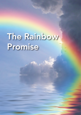# The Rainbow Promise

The Rainbow Promise 1.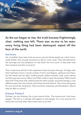

As the sun began to rise, the truth became frighteningly clear: nothing was left. There was no-one to be seen; every living thing had been destroyed, wiped off the face of the earth.

#### Survivors

Yet, incredibly, there were a few survivors; just one family sealed up in their homemade shelter, with enough provisions to last for over a year. They had listened to the warnings and had prepared, so that when the time came, in they went with their livestock and their survival kit.

Their minds were still full of the experience they had gone through. To begin with there had been horror; sounds outside of terror and despair, upheaval and chaos, but the family had sat tight, holding hands, safely enclosed. Later came silence and that was even worse. What now? Was it safe to open the window? What would they find? They knew with certainty that the earth outside, would be strange; a very different place from the familiar world they had left behind. Their home had gone for sure and all the landmarks. There would be emptiness and devastation. Would they be able to survive?

## Science Fiction?

Perhaps, you are thinking, this is just science fiction. The chances are it will never happen. The fact is, it actually did happen to real people. It's a true account of a family who survived when their world came to an end.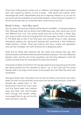They knew nothing about nuclear war or radiation: the danger which surrounded them was caused by billions of tons of water - tidal waves and torrents which submerged the earth. Nevertheless they are of especial interest to us, for we too are faced with the possibility of world-wide disaster, a fiery holocaust instead of a flood and the fear that our world like theirs could come to an end.

## Noah's time – Just like ours!

You can read a full account of Noah and the flood in the Bible – in Genesis (chapters 6-8). Although Noah and his family lived 5,000 years ago, their world was not all that different from ours. The history books may tell us that back in those days men were primitive and just emerging from the stone-age, but don't you believe it! The Bible tells us that in fact they were very civilised, living in cities, enjoying themselves, getting rich, eating and drinking well, permissive in their behaviour, totally lacking in morals. There was violence and crime, cruelty and oppression and, just like nowadays, the earth had become a dangerous place.

Noah and his family were sickened with the misery and violence they saw: they wanted a better world where there would be kindness and peace. The main difference between them and the rest of the population was that they believed in God the Creator and they knew He cared about the earth and mankind.

God spoke to Noah and told him He was also grieved and angry because His earth was being spoiled and He intended to clean it up. In fact, God said He would literally wash it and wipe off all traces of the people who had filled the earth with wickedness.

God gave Noah clear instructions how he and his family could survive and when Noah, his wife, his sons and their wives went into the ark they had built, it was God

Himself who sealed them in. The family lived in the ark for over a year until the flood water had drained away and God, who had brought them through that terrible ordeal, encouraged them to go out into the earth and start a new life.

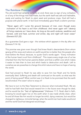## The Rainbow Promise

The old world had certainly come to an end; there was no sign of any civilisation or of any of the things men had made, but the earth itself was safe and habitable, ready and waiting for Noah to plant seed and produce crops. God still had a purpose with planet earth. In fact God immediately gave Noah a solemn promise:

*"Never again will I curse the ground because of man, even though every inclination of his heart is evil from childhood. And never again will I destroy all living creatures as I have done. As long as the earth endures, seedtime and harvest, cold and heat, summer and winter, day and night will never cease" (Genesis 8:21,22).*

As a guarantee God gave a sign - the rainbow which appears in the sky after rain (Genesis 9:14-16).

This promise was given even though God knew Noah's descendants (from whom sprang all the races and nations on earth) would be no better than the people who lived before the flood, because, to quote God's words again: "Every inclination of the human heart is evil from childhood". This means every single one of us has inherited from the first human parents (Adam and Eve) a selfish core which makes it easier to hate than to love and which leads to destruction and death. Left to ourselves we are powerless to change this sinful nature and have no hope of saving the world.

God had proved to Noah he was able to save him but Noah and his family eventually died. Suffering and death still continued on the earth; so what was the point of being saved? What comfort was it to Noah to be promised that the earth would endure if he wasn't alive to enjoy it?

We have to turn to the New Testament to discover what motivated Noah. We are told he had faith that God would reward him in the future even though he died, and he would be the *"heir of righteousness"* (Hebrews 11:7). Noah died in faith, knowing he would again live on the earth when it was made wholly clean, when he and all those like him would no longer be sinful, dying creatures, but would be changed to righteous, immortal beings; when the world men had made would end and the world God had designed would begin.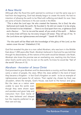## A New World

Although after the flood the earth seemed to continue in lust the same way as it had from the beginning, God had already begun to create His world. He had no intention of allowing the earth to be filled with suffering and death for ever. Here are some of God's intentions in His own words in the Bible:

*"This is what the Lord says: He who created the heavens, He is God; He who fashioned and made the earth, He founded it; He did not create it to be empty, but formed it to be inhabited . . . There is no God apart from me, a righteous God and a Saviour . . . Turn to me and be saved, all you ends of the earth . . . Before me every knee will bow; by me every tongue will swear. They will say of me, 'In the Lord alone are righteousness and strength' " (Isaiah 45:18-24).*

"For the earth will be filled with the knowledge of the glory of the Lord, as the *waters cover the sea" (Habakkuk 2:14).*

God first revealed His plan to a man called Abraham, who was born in the Middle East about 1,000 years after Noah. Abraham believed in God and he was told that through his descendants, all the nations of the earth would be blessed. Like Noah, Abraham also knew the promise was an everlasting one, reaching into the future when God's world came into its own on the earth; he knew he would *be "heir of the world"* (Romans 4:13).

## Abraham - Ancestor of Jesus Christ

God promised to give Abraham and his descendants a country, and from Abraham came a nation of people, the Jews. When the Jews settled in the land of Israel they became a Kingdom - in fact God's Kingdom on earth - to be an example of righteousness and peace for all nations. Their capital city, chosen by God, was Jerusalem, where the temple, God's House, was built to His honour and glory.

But the Jews as a nation were unable to save the world, even though they were shown signs and wonders and given help and instruction from God. Some of the Jews believed and obeyed but the majority preferred to go their own evil way.

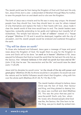The Jewish world was far from being the Kingdom of God until God sent His only Son, Jesus Christ, born a Jew - a descendant of Abraham through Mary his mother, to save His people from sin and death and to rule over the Kingdom.

The birth of Jesus was a miracle and his life was in every way unique. He showed people how they should live; how they should learn to care for others instead of only themselves and replace the hate in their hearts with love. Jesus made it clear the Jewish world of that time would have to end. The Jewish leaders were hypocrites, outwardly pretending to be godly and righteous but inwardly full of wickedness. The temple had become *"a den of robbers"* instead of a *"house of prayer"* (Matthew 21:13) and it would be destroyed, together with the city of Jerusalem, and the Jewish people would be enslaved and scattered throughout the earth.

## "Thy will be done on earth"

To those who believed and followed, Jesus gave a message of hope and good news about the Kingdom of God. He taught them to pray for the Kingdom to come and God's will to be done *"on earth as in heaven"* (Matthew 6:10). Jesus assured his followers that God so loved the world that He had sent His only Son as the Saviour, that *"whoever believes in him shall not perish but have eternal life"* (John 3:16); that he was "the resurrection and the life" and would raise the dead (John 11:25-29).

Jesus told his disciples he would come "*on the clouds of the sky with power and great glory*" (Matthew 24:30); his throne would be in Jerusalem; he would rule over the nations and his faithful followers would inherit that Kingdom, ruling with him over the whole earth (Matthew 25:31-34, Ps 110, Rev 5:10).



The Jewish leaders refused to believe Jesus Christ was the Son of God, their Saviour and King, and they plotted to destroy him. So Jesus was crucified and died (Matthew 27). This was the price that was paid to save the world! God's only Son, whom He loved, who showed people what God was like, the Saviour, the One born to be the King, was put to death by wicked men.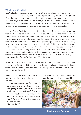## Worlds in Conflict

God's plan had reached a crisis. Here were the two worlds in conflict, brought face to face. On the one hand, God's world, represented by His Son, the righteous King who demonstrated understanding and forgiveness and was caring and kind even though, having done nothing wrong, he experienced the full force of human wickedness. On the other hand, the world made by men, motivated by hatred, whose power was based on oppression, greed, violence and destruction.

In Jesus Christ, God offered the solution to the curse of sin and death. He showed that death was no problem to Him, for He could bring back the dead to life. His Son who had never sinned rose from the dead on the third day after he had died on the cross, now to be alive for evermore. He appeared to his followers and turned their bewilderment into excitement, their grief into joy (John 20; Luke 24:36-48). Jesus told them the time had not yet come for God's Kingdom to be set up on earth. He had to go to heaven to His Father, but all power had been given to him in heaven and in earth. They were to go to all nations, preaching the Gospel (God's good news), teaching them to keep his commands and baptizing them in his name for the forgiveness of their sins. And Jesus promised, " *I am with you alway, even unto the end of the world*" (Matthew 28:18-20 KJV).

Jesus' disciples knew that "the end of the world" would come when Jesus returned to set up the Kingdom of God; at that time he would raise the dead who had been faithful to his Father and to him; they would be given eternal life and would rule with him over the earth.

When Jesus had spoken about his return, he made it clear that it would coincide with a time of great trouble on the earth - and he particularly mentioned Noah. He said:

"In the days before the flood, people *were eating and drinking, marrying and giving in marriage, up to the day Noah entered the ark; and they knew nothing about what would happen until*  the flood came and took them all away. *That is how it will be at the coming of the Son of Man*" (Matthew 24:38,39).

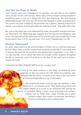## Just like the Days of Noah!

From heaven Jesus sent messages to his apostles. He said that as time passed many people would scoff and say, 'What about that promised coming kingdom? Everything goes on just as it always has since the beginning.' But such people deliberately forget that long ago the world was deluged in water and destroyed. The Lord is not slow in keeping His promises: He is patient, wanting everyone to repent, not to perish. A thousand years are nothing to God - they seem like a day.

But, just as the earth was once destroyed by water, the present heavens and earth are reserved for fire. Bible language suggests that the heavens will disappear with a roar; the elements will be destroyed by fire and the earth and everything in it will be burned (2 Peter 3:3-10; see also Acts 17:31 and 2 Thessalonians 1:6-10).

## Nuclear Holocaust?

So, when Jesus returns to set up the Kingdom of God, will our world be destroyed by fire? When Peter and Paul wrote those words the possibility of men being able to destroy the earth by fire would be way beyond their imagination. In our days it is a very real fear. It is no secret that there are enough nuclear weapons stockpiled literally to incinerate every living thing on the face of the earth and to leave it empty and waste.

Is this what the Bible foretells? Will there be a nuclear war?

 Let's look at the other evidence in the Bible, remembering Jesus endorsed all that was said by the Old Testament prophets, who foretold that the centre of events at the time of the end would be Israel and especially the city of Jerusalem.

 The prophecies made centuries ago are startling in their relevance to our present world. They speak about Israel and the Jewish people as a power to be reckoned with among the nations; of Jerusalem being a major cause of trouble and concern; nations such as Persia (Iran), Libya, Ethiopia and a great northern power, with massive armaments, becoming a threat to world peace and invading Israel.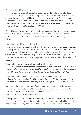## Prophecies Come True

For instance: the prophet Ezekiel (chapters 38-39) foretells a terrible disaster in Israel in the "latter years" after the people of Israel have returned to their land from a long exile. A vast army will invade Israel from the north, but God will intervene:

"*At that time there shall be a great earthquake in the land of Israel . . . all the people on the face of the earth will tremble at my presence . . . Every man's sword will be against his brother*" (38:19-21).

God will pour down torrents of rain, hailstones and burning sulphur on them and they will fall on the mountains of Israel (38:22). The war will have a far-reaching effect because fire will also fall on those who are far-off and think they are safe  $(39:6)$ .

## Israel at the Centre of it all

Then, we are told, the people who live in the towns of Israel will go out and collect the weapons, which will be used for fuel for seven years (39:9,10). There will also have to be special burial parties, equipped to deal with the dead; every single bone will be gathered and carefully disposed of. The details are horrifyingly familiar to us in this nuclear age, who know the potential of nuclear power and the effects of radiation.

The prophet Joel also spoke about the Day of the Lord:

"*I* (God) *will show wonders in the heavens and in the earth, said God. Blood and* fire and pillars of smoke. The sun shall be turned into darkness and the moon into *blood before the great and terrible day of the Lord comes"* (2:30,31 KJV).

Through Malachi, the last prophet in the Old Testament, God said:

*"Surely the day is coming; it will burn like a furnace. All the arrogant and every* evildoer will be stubble and that day that is coming will set them on fire" (4:1).

But though these are human wars God is using them to work out His purpose. "The Lord will go out and fight against those nations…. His feet will stand on the *Mount of Olives east of Jerusalem" (Zechariah 14:1-4).* It goes on to describe a great earthquake.

The superpowers are already positioned around the trouble-spots of the Middle East. It is not difficult to imagine them being drawn together to a final battle in the land of Israel. That tiny state will be the centre of a violent Third World War.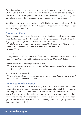There is no doubt that all these prophecies will come to pass in the very near future. But we, like Noah, can have confidence in God, as long as we obey the clear instructions He has given in the Bible, knowing He will bring us through the turmoil and chaos and will preserve the earth according to His promise.

So, will the earth be reduced to cinders? Will this lovely planet be destroyed? It is not the earth which is to be destroyed, but this civilisation; this materialistic society has to be purged with fire.

## Gloom and Doom?

The gloom and doom are not for ever. All the prophecies end with reassurance and hope. Ezekiel declares that the result of the fiery destruction in Israel will be the beginning of the Kingdom of God on earth, for, says God,

*"I will show my greatness and my holiness and I will make myself known in the sight of many nations. Then they will know that I am the Lord" (Ezekiel 38:23).*

Joel says:

*"Everyone who calls on the name of the Lord will be saved, for on Mount Zion and in Jerusalem there will be deliverance, as the Lord has said" (2:32).*

Malachi ends with comforting words from God:

*"For you who revere my Name, the Sun of righteousness will arise with healing in its* (his) *wings" (4:2).*

And Zechariah assures us that,

*"The Lord will be king over the whole earth. On that day there will be one Lord and his name the only name" (14:9).*

## An End to World Empires

Our world will not welcome Jesus as King. Many who have achieved wealth and status in the world of men will oppose him, but we are told that all their kingdoms and "empires" will be utterly destroyed, burned by fire, ironically by their own hands! Those who lose their riches will mourn, when their space projects, their mines and oil-rigs, their factories for armaments and chemicals, their status symbols and luxuries, their transport and banking systems - all go up in smoke! (See Revelation 17; 18; 19).